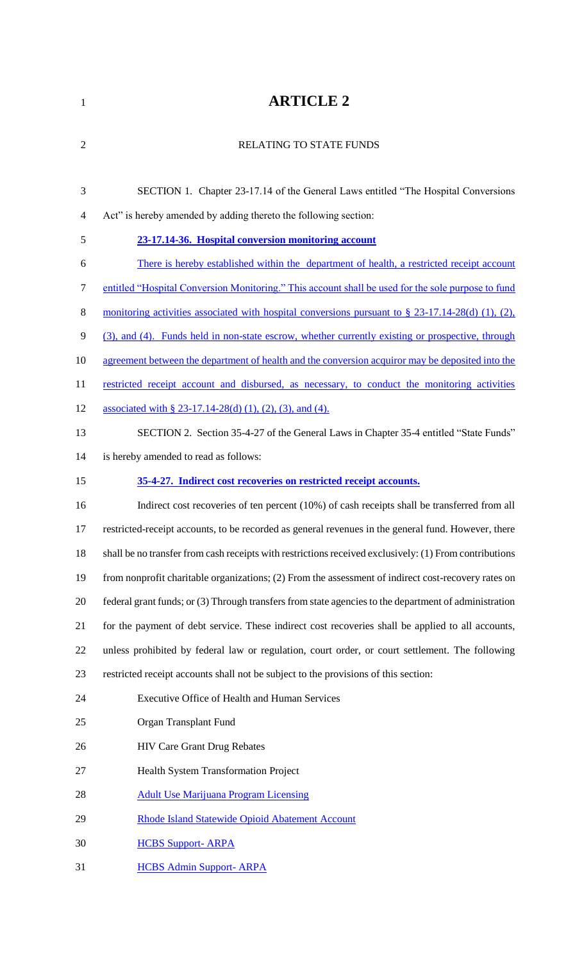# **ARTICLE 2**

| $\overline{2}$ | <b>RELATING TO STATE FUNDS</b>                                                                         |
|----------------|--------------------------------------------------------------------------------------------------------|
| 3              | SECTION 1. Chapter 23-17.14 of the General Laws entitled "The Hospital Conversions"                    |
| $\overline{4}$ | Act" is hereby amended by adding thereto the following section:                                        |
| 5              | 23-17.14-36. Hospital conversion monitoring account                                                    |
| 6              | There is hereby established within the department of health, a restricted receipt account              |
| $\tau$         | entitled "Hospital Conversion Monitoring." This account shall be used for the sole purpose to fund     |
| 8              | monitoring activities associated with hospital conversions pursuant to $\S$ 23-17.14-28(d) (1), (2),   |
| 9              | (3), and (4). Funds held in non-state escrow, whether currently existing or prospective, through       |
| 10             | agreement between the department of health and the conversion acquiror may be deposited into the       |
| 11             | restricted receipt account and disbursed, as necessary, to conduct the monitoring activities           |
| 12             | associated with § 23-17.14-28(d) (1), (2), (3), and (4).                                               |
| 13             | SECTION 2. Section 35-4-27 of the General Laws in Chapter 35-4 entitled "State Funds"                  |
| 14             | is hereby amended to read as follows:                                                                  |
| 15             | 35-4-27. Indirect cost recoveries on restricted receipt accounts.                                      |
|                |                                                                                                        |
| 16             | Indirect cost recoveries of ten percent (10%) of cash receipts shall be transferred from all           |
| 17             | restricted-receipt accounts, to be recorded as general revenues in the general fund. However, there    |
| 18             | shall be no transfer from cash receipts with restrictions received exclusively: (1) From contributions |
| 19             | from nonprofit charitable organizations; (2) From the assessment of indirect cost-recovery rates on    |
| 20             | federal grant funds; or (3) Through transfers from state agencies to the department of administration  |
| 21             | for the payment of debt service. These indirect cost recoveries shall be applied to all accounts,      |
| 22             | unless prohibited by federal law or regulation, court order, or court settlement. The following        |
| 23             | restricted receipt accounts shall not be subject to the provisions of this section:                    |
| 24             | Executive Office of Health and Human Services                                                          |
| 25             | Organ Transplant Fund                                                                                  |
| 26             | <b>HIV Care Grant Drug Rebates</b>                                                                     |
| 27             | Health System Transformation Project                                                                   |
| 28             | <b>Adult Use Marijuana Program Licensing</b>                                                           |
| 29             | Rhode Island Statewide Opioid Abatement Account                                                        |

HCBS Admin Support- ARPA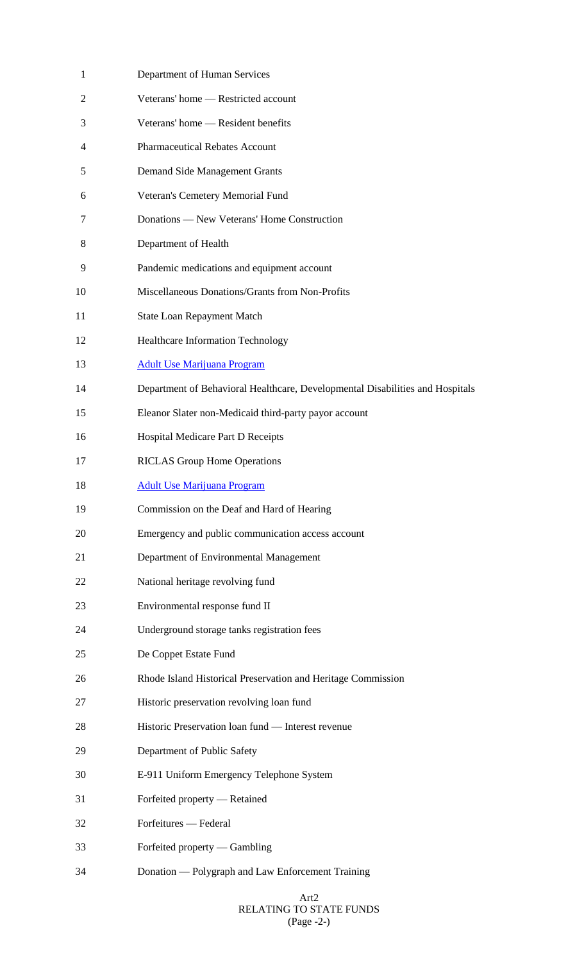| 1              | Department of Human Services                                                  |
|----------------|-------------------------------------------------------------------------------|
| $\overline{2}$ | Veterans' home - Restricted account                                           |
| 3              | Veterans' home — Resident benefits                                            |
| 4              | <b>Pharmaceutical Rebates Account</b>                                         |
| 5              | Demand Side Management Grants                                                 |
| 6              | Veteran's Cemetery Memorial Fund                                              |
| 7              | Donations — New Veterans' Home Construction                                   |
| 8              | Department of Health                                                          |
| 9              | Pandemic medications and equipment account                                    |
| 10             | Miscellaneous Donations/Grants from Non-Profits                               |
| 11             | <b>State Loan Repayment Match</b>                                             |
| 12             | <b>Healthcare Information Technology</b>                                      |
| 13             | <b>Adult Use Marijuana Program</b>                                            |
| 14             | Department of Behavioral Healthcare, Developmental Disabilities and Hospitals |
| 15             | Eleanor Slater non-Medicaid third-party payor account                         |
| 16             | Hospital Medicare Part D Receipts                                             |
| 17             | <b>RICLAS Group Home Operations</b>                                           |
| 18             | <b>Adult Use Marijuana Program</b>                                            |
| 19             | Commission on the Deaf and Hard of Hearing                                    |
| 20             | Emergency and public communication access account                             |
| 21             | Department of Environmental Management                                        |
| 22             | National heritage revolving fund                                              |
| 23             | Environmental response fund II                                                |
| 24             | Underground storage tanks registration fees                                   |
| 25             | De Coppet Estate Fund                                                         |
| 26             | Rhode Island Historical Preservation and Heritage Commission                  |
| 27             | Historic preservation revolving loan fund                                     |
| 28             | Historic Preservation loan fund — Interest revenue                            |
| 29             | Department of Public Safety                                                   |
| 30             | E-911 Uniform Emergency Telephone System                                      |
| 31             | Forfeited property — Retained                                                 |
| 32             | Forfeitures — Federal                                                         |
| 33             | Forfeited property — Gambling                                                 |
| 34             | Donation — Polygraph and Law Enforcement Training                             |
|                |                                                                               |

## Art2 RELATING TO STATE FUNDS (Page -2-)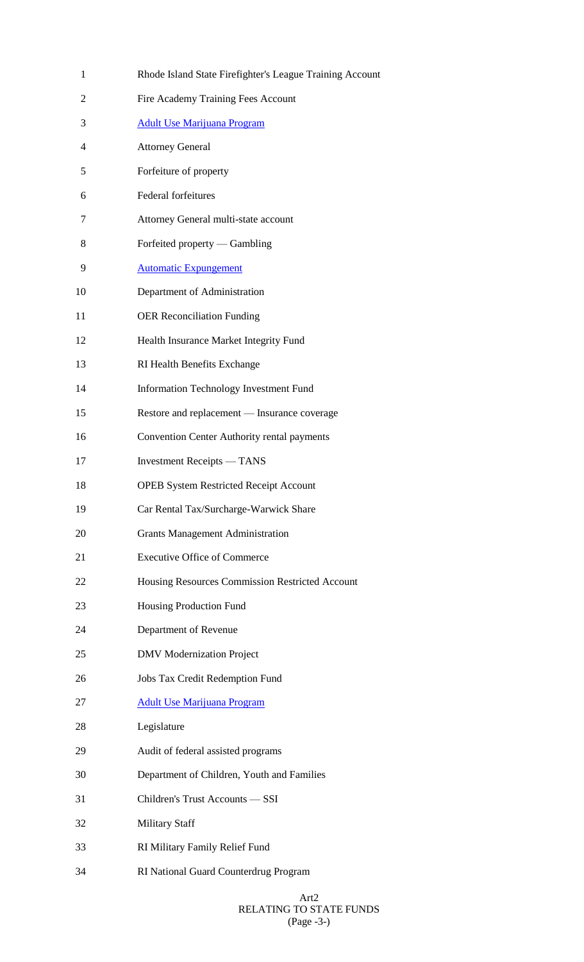| 1  | Rhode Island State Firefighter's League Training Account |
|----|----------------------------------------------------------|
| 2  | Fire Academy Training Fees Account                       |
| 3  | <b>Adult Use Marijuana Program</b>                       |
| 4  | <b>Attorney General</b>                                  |
| 5  | Forfeiture of property                                   |
| 6  | Federal forfeitures                                      |
| 7  | Attorney General multi-state account                     |
| 8  | Forfeited property — Gambling                            |
| 9  | <b>Automatic Expungement</b>                             |
| 10 | Department of Administration                             |
| 11 | <b>OER Reconciliation Funding</b>                        |
| 12 | Health Insurance Market Integrity Fund                   |
| 13 | RI Health Benefits Exchange                              |
| 14 | Information Technology Investment Fund                   |
| 15 | Restore and replacement — Insurance coverage             |
| 16 | Convention Center Authority rental payments              |
| 17 | <b>Investment Receipts</b> — TANS                        |
| 18 | <b>OPEB System Restricted Receipt Account</b>            |
| 19 | Car Rental Tax/Surcharge-Warwick Share                   |
| 20 | <b>Grants Management Administration</b>                  |
| 21 | <b>Executive Office of Commerce</b>                      |
| 22 | Housing Resources Commission Restricted Account          |
| 23 | Housing Production Fund                                  |
| 24 | Department of Revenue                                    |
| 25 | <b>DMV</b> Modernization Project                         |
| 26 | Jobs Tax Credit Redemption Fund                          |
| 27 | <b>Adult Use Marijuana Program</b>                       |
| 28 | Legislature                                              |
| 29 | Audit of federal assisted programs                       |
| 30 | Department of Children, Youth and Families               |
| 31 | Children's Trust Accounts - SSI                          |
| 32 | Military Staff                                           |
| 33 | RI Military Family Relief Fund                           |
| 34 | RI National Guard Counterdrug Program                    |

## Art2 RELATING TO STATE FUNDS (Page -3-)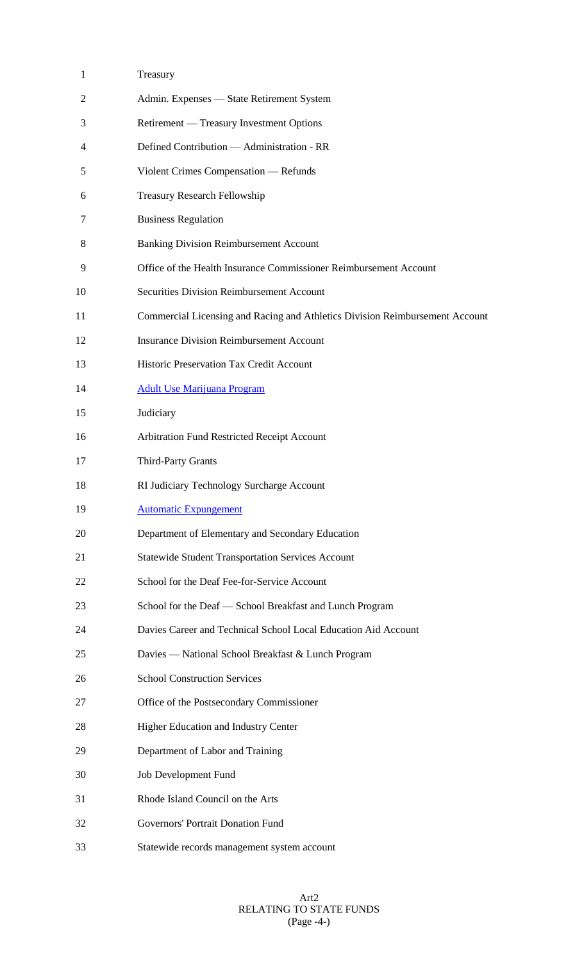| $\mathbf{1}$ | Treasury                                                                     |
|--------------|------------------------------------------------------------------------------|
| 2            | Admin. Expenses - State Retirement System                                    |
| 3            | Retirement — Treasury Investment Options                                     |
| 4            | Defined Contribution - Administration - RR                                   |
| 5            | Violent Crimes Compensation — Refunds                                        |
| 6            | <b>Treasury Research Fellowship</b>                                          |
| 7            | <b>Business Regulation</b>                                                   |
| 8            | <b>Banking Division Reimbursement Account</b>                                |
| 9            | Office of the Health Insurance Commissioner Reimbursement Account            |
| 10           | <b>Securities Division Reimbursement Account</b>                             |
| 11           | Commercial Licensing and Racing and Athletics Division Reimbursement Account |
| 12           | <b>Insurance Division Reimbursement Account</b>                              |
| 13           | Historic Preservation Tax Credit Account                                     |
| 14           | <b>Adult Use Marijuana Program</b>                                           |
| 15           | Judiciary                                                                    |
| 16           | Arbitration Fund Restricted Receipt Account                                  |
| 17           | <b>Third-Party Grants</b>                                                    |
| 18           | RI Judiciary Technology Surcharge Account                                    |
| 19           | <b>Automatic Expungement</b>                                                 |
| 20           | Department of Elementary and Secondary Education                             |
| 21           | <b>Statewide Student Transportation Services Account</b>                     |
| 22           | School for the Deaf Fee-for-Service Account                                  |
| 23           | School for the Deaf - School Breakfast and Lunch Program                     |
| 24           | Davies Career and Technical School Local Education Aid Account               |
| 25           | Davies - National School Breakfast & Lunch Program                           |
| 26           | <b>School Construction Services</b>                                          |
| 27           | Office of the Postsecondary Commissioner                                     |
| 28           | Higher Education and Industry Center                                         |
| 29           | Department of Labor and Training                                             |
| 30           | Job Development Fund                                                         |
| 31           | Rhode Island Council on the Arts                                             |
| 32           | Governors' Portrait Donation Fund                                            |
| 33           | Statewide records management system account                                  |

## Art2 RELATING TO STATE FUNDS (Page -4-)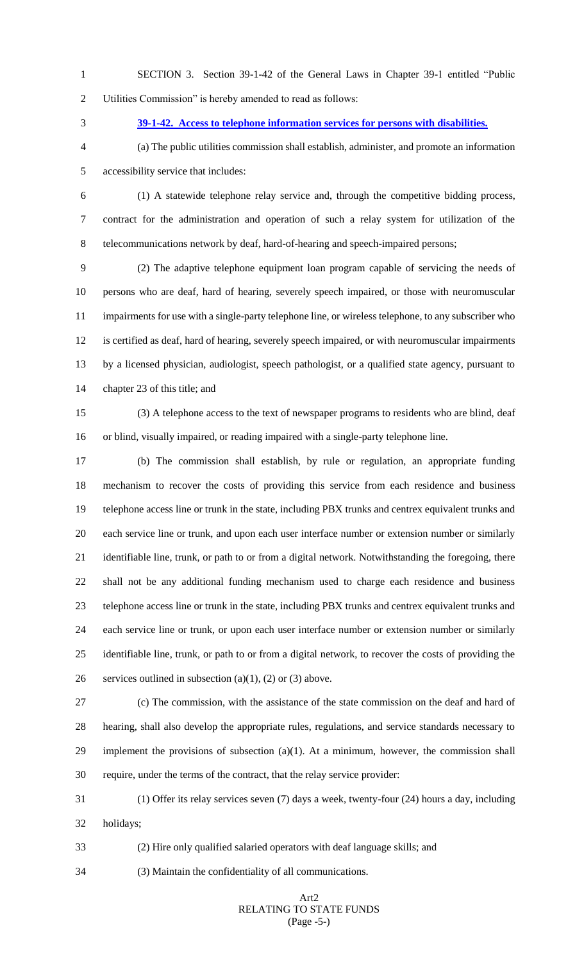- SECTION 3. Section 39-1-42 of the General Laws in Chapter 39-1 entitled "Public Utilities Commission" is hereby amended to read as follows:
- 

# **39-1-42. Access to telephone information services for persons with disabilities.**

 (a) The public utilities commission shall establish, administer, and promote an information accessibility service that includes:

 (1) A statewide telephone relay service and, through the competitive bidding process, contract for the administration and operation of such a relay system for utilization of the telecommunications network by deaf, hard-of-hearing and speech-impaired persons;

 (2) The adaptive telephone equipment loan program capable of servicing the needs of persons who are deaf, hard of hearing, severely speech impaired, or those with neuromuscular impairments for use with a single-party telephone line, or wireless telephone, to any subscriber who is certified as deaf, hard of hearing, severely speech impaired, or with neuromuscular impairments by a licensed physician, audiologist, speech pathologist, or a qualified state agency, pursuant to chapter 23 of this title; and

 (3) A telephone access to the text of newspaper programs to residents who are blind, deaf or blind, visually impaired, or reading impaired with a single-party telephone line.

 (b) The commission shall establish, by rule or regulation, an appropriate funding mechanism to recover the costs of providing this service from each residence and business telephone access line or trunk in the state, including PBX trunks and centrex equivalent trunks and each service line or trunk, and upon each user interface number or extension number or similarly identifiable line, trunk, or path to or from a digital network. Notwithstanding the foregoing, there shall not be any additional funding mechanism used to charge each residence and business telephone access line or trunk in the state, including PBX trunks and centrex equivalent trunks and each service line or trunk, or upon each user interface number or extension number or similarly identifiable line, trunk, or path to or from a digital network, to recover the costs of providing the 26 services outlined in subsection (a)(1), (2) or (3) above.

 (c) The commission, with the assistance of the state commission on the deaf and hard of hearing, shall also develop the appropriate rules, regulations, and service standards necessary to 29 implement the provisions of subsection  $(a)(1)$ . At a minimum, however, the commission shall require, under the terms of the contract, that the relay service provider:

 (1) Offer its relay services seven (7) days a week, twenty-four (24) hours a day, including holidays;

(2) Hire only qualified salaried operators with deaf language skills; and

(3) Maintain the confidentiality of all communications.

## Art2 RELATING TO STATE FUNDS (Page -5-)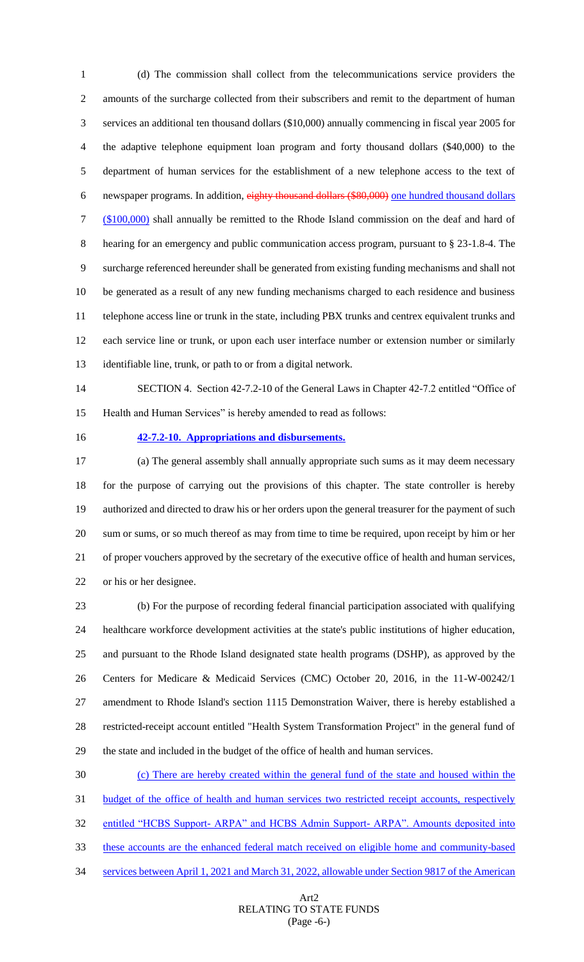(d) The commission shall collect from the telecommunications service providers the amounts of the surcharge collected from their subscribers and remit to the department of human services an additional ten thousand dollars (\$10,000) annually commencing in fiscal year 2005 for the adaptive telephone equipment loan program and forty thousand dollars (\$40,000) to the department of human services for the establishment of a new telephone access to the text of newspaper programs. In addition, eighty thousand dollars (\$80,000) one hundred thousand dollars (\$100,000) shall annually be remitted to the Rhode Island commission on the deaf and hard of hearing for an emergency and public communication access program, pursuant to § 23-1.8-4. The surcharge referenced hereunder shall be generated from existing funding mechanisms and shall not be generated as a result of any new funding mechanisms charged to each residence and business telephone access line or trunk in the state, including PBX trunks and centrex equivalent trunks and each service line or trunk, or upon each user interface number or extension number or similarly identifiable line, trunk, or path to or from a digital network.

 SECTION 4. Section 42-7.2-10 of the General Laws in Chapter 42-7.2 entitled "Office of Health and Human Services" is hereby amended to read as follows:

## **42-7.2-10. Appropriations and disbursements.**

 (a) The general assembly shall annually appropriate such sums as it may deem necessary for the purpose of carrying out the provisions of this chapter. The state controller is hereby authorized and directed to draw his or her orders upon the general treasurer for the payment of such sum or sums, or so much thereof as may from time to time be required, upon receipt by him or her of proper vouchers approved by the secretary of the executive office of health and human services, or his or her designee.

 (b) For the purpose of recording federal financial participation associated with qualifying healthcare workforce development activities at the state's public institutions of higher education, and pursuant to the Rhode Island designated state health programs (DSHP), as approved by the Centers for Medicare & Medicaid Services (CMC) October 20, 2016, in the 11-W-00242/1 amendment to Rhode Island's section 1115 Demonstration Waiver, there is hereby established a restricted-receipt account entitled "Health System Transformation Project" in the general fund of the state and included in the budget of the office of health and human services.

 (c) There are hereby created within the general fund of the state and housed within the 31 budget of the office of health and human services two restricted receipt accounts, respectively 32 entitled "HCBS Support- ARPA" and HCBS Admin Support- ARPA". Amounts deposited into these accounts are the enhanced federal match received on eligible home and community-based services between April 1, 2021 and March 31, 2022, allowable under Section 9817 of the American

## Art2 RELATING TO STATE FUNDS (Page -6-)